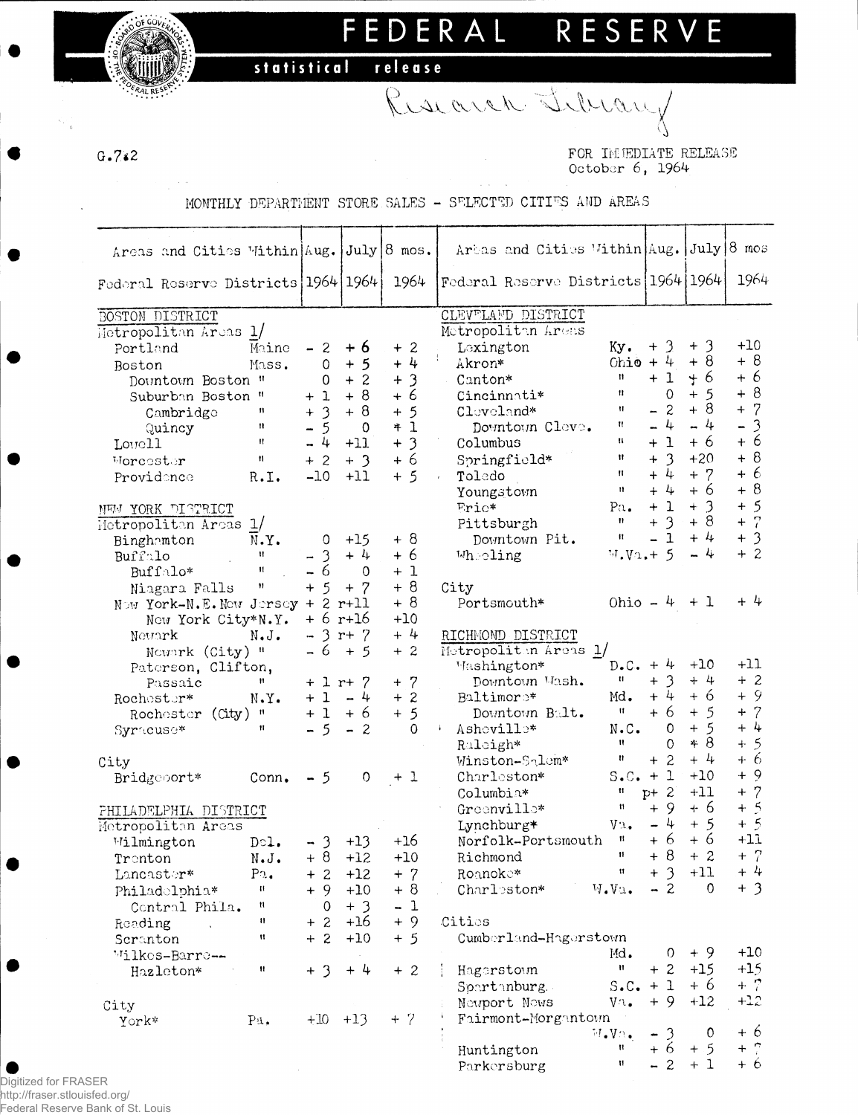FEDERAL RESERVE

Research Library

release statistical

 $G.7.2$ 

FOR INMEDIATE RELEASE October 6, 1964

MONTHLY DEPARTMENT STORE SALES - SELECTED CITIES AND AREAS

|                                          |                          |                         |                |                                      |                           |                                            | Arbas and Cities Within Aug. July 8 mos |                                        |          |                                            |
|------------------------------------------|--------------------------|-------------------------|----------------|--------------------------------------|---------------------------|--------------------------------------------|-----------------------------------------|----------------------------------------|----------|--------------------------------------------|
| Areas and Cities Within Aug. July 8 mos. |                          |                         |                |                                      |                           |                                            |                                         |                                        |          |                                            |
| Federal Reserve Districts   1964   1964  |                          |                         |                | 1964                                 |                           |                                            | Federal Reserve Districts 1964 1964     |                                        |          | 1964                                       |
|                                          |                          |                         |                |                                      |                           |                                            |                                         |                                        |          |                                            |
| BOSTON DISTRICT                          |                          |                         |                |                                      |                           | CLEVELAND DISTRICT                         |                                         |                                        |          |                                            |
| Metropolitan Areas 1/                    |                          |                         |                |                                      |                           | Motropolitan Areas                         |                                         |                                        |          |                                            |
| Portland                                 | Maine                    | $-2$                    | $+6$           | $+2$                                 | Lexington                 |                                            | Ky.                                     | $+3$                                   | $+3$     | $+10$                                      |
| Boston                                   | Mass.                    | $\Omega$                | $+5$           | $+4$                                 | $\frac{1}{2}$ .<br>Akron* |                                            | Ohio + $4$                              |                                        | $+8$     | $+8$                                       |
| Dountoun Boston "                        |                          | $\Omega$                | $+2$           | $\overline{\mathbf{3}}$<br>$\ddot{}$ | Canton*                   |                                            | $\mathbf{H}$                            | $+1$                                   | $+6$     | $+6$                                       |
| Suburban Boston "                        |                          | $+1$                    | $+8$           | + 6                                  | Cincinnati*               |                                            | 11                                      | $\Omega$                               | $+5$     | $+8$                                       |
| Cambridge                                | 11                       | $+3$                    | $+8$           | $+5$                                 | Cloveland*                |                                            | Ħ                                       | $-2$                                   | $+8$     | $+ 7$                                      |
| Quincy                                   | Ħ                        | $-5$                    | $\Omega$       | $+1$                                 |                           | Downtown Cleve.                            | Ħ                                       | $-4$                                   | $-4$     | $\overline{\mathcal{E}}$<br>$\overline{a}$ |
| Lowell                                   | $\mathbf{H}$             | $-4$                    | $+11$          | $+3$                                 | Columbus                  |                                            | u                                       | $+1$                                   | $+6$     | $+6$                                       |
| Morcester                                | 11                       | $+2$                    | $+3$           | $+6$                                 |                           | Springfield*                               | Ħ                                       | $+3$                                   | $+20$    | $+8$                                       |
| Providonce                               | R.I.                     | $-10$                   | $+11$          | $+5$                                 | Toledo                    |                                            | $\mathbf{H}$                            | $\downarrow$<br>$\ddot{+}$             | $+ 7$    | $+6$                                       |
|                                          |                          |                         |                |                                      | Youngstown                |                                            | $\mathbf{H}$                            | $+4$                                   | $+6$     | $+8$                                       |
| NEW YORK DISTRICT                        |                          |                         |                |                                      | $Fric*$                   |                                            | Pa <sub>•</sub>                         | $+1$                                   | $+3$     | $+5$                                       |
| Metropolitan Areas 1/                    |                          |                         |                |                                      | Pittsburgh                |                                            | Ħ.                                      | $\overline{3}$<br>$\! + \!$            | $+8$     | $+7$                                       |
| Binghamton                               | N.Y.                     | 0                       | $+15$          | $+8$                                 |                           | Downtown Pit.                              | $\mathbf{H}$                            | $-1$                                   | $+4$     | $+3$                                       |
| Buffalo                                  | $\mathbf{H}$             | $-3$                    | $+4$           | + 6                                  | Wheeling                  |                                            | $W - V_1 + 5$                           |                                        | $-4$     | $+2$                                       |
| Buffalo*                                 | $\mathbf{H}$             | $-6$                    | $\Omega$       | $+1$                                 |                           |                                            |                                         |                                        |          |                                            |
| Niagara Falls                            | n                        | $+5$                    | $+ 7$          | $+8$                                 | City                      |                                            |                                         |                                        |          | $+4$                                       |
| Now York-N.E. Now Jersey + 2 r+11        |                          |                         |                | $+8$                                 |                           | Portsmouth*                                |                                         | Ohio $-4$ + 1                          |          |                                            |
| New York City*N.Y.                       |                          | $+ 6$ r+16              |                | $+10$<br>$+4$                        |                           |                                            |                                         |                                        |          |                                            |
| Newark                                   | $N \cdot J \cdot$        | $-3$ r+ $7$<br>$-6 + 5$ |                | $+2$                                 |                           | RICHMOND DISTRICT<br>Motropoliten Areas 1/ |                                         |                                        |          |                                            |
| Nounrk (City) "<br>Paterson, Clifton,    |                          |                         |                |                                      | Mashington*               |                                            | $D-C. + 4$                              |                                        | $+10$    | $+11$                                      |
| Passaic                                  | $\mathbf{H}$             | $+ 1 r + 7$             |                | $+ 7$                                |                           | Downtown Wash.                             | $\mathbf{u}$                            | $+3$                                   | $+4$     | $+2$                                       |
| Rochester*                               | $N \cdot Y$ .            | $+1 -4$                 |                | $+2$                                 | Baltimore*                |                                            | Md.                                     | $+4$                                   | $+6$     | $+9$                                       |
| Rochester (City) "                       |                          | $+1$                    | + 6            | $+5$                                 |                           | Downtown Balt.                             | 11                                      | $+6$                                   | $+5$     | $+ 7$                                      |
| Syracuse*                                | 11                       | $-5$                    | $-2$           | $\Omega$                             | Ashoville*                |                                            | $N \cdot C$ .                           | $\mathbf{O}$                           | $+5$     | $+4$                                       |
|                                          |                          |                         |                |                                      | Raleigh*                  |                                            | $\mathbf{u}$                            | $\circ$                                | $*8$     | $+5$                                       |
| City                                     |                          |                         |                |                                      |                           | Winston-Salem*                             | Ħ                                       | $+2$                                   | $+4$     | + 6                                        |
| Bridgeport*                              | Conn <sub>•</sub>        | $-5$                    | $\overline{O}$ | $+1$                                 | Charleston*               |                                            | $S.C. + 1$                              |                                        | $+10$    | $+9$                                       |
|                                          |                          |                         |                |                                      | Columbia*                 |                                            | u                                       | $p+2$                                  | $+11$    | $+ 7$                                      |
| PHILADELPHIA DISTRICT                    |                          |                         |                |                                      | Greenville*               |                                            | Ħ                                       | $+9$                                   | $+6$     | $+5$                                       |
| Metropolitan Areas                       |                          |                         |                |                                      | Lynchburg*                |                                            | $V_{\mathcal{L}}$ .                     | $-4$                                   | $+5$     | $+5$                                       |
| Wilmington                               | $D \circ 1$ .            | $-3$                    | $+13$          | $+16$                                |                           | Norfolk-Portsmouth                         | 11                                      | $+6$                                   | $+6$     | $+11$                                      |
| Trenton                                  | $N_{\bullet}J_{\bullet}$ | $+8$                    | $+12$          | $+10$                                | Richmond                  |                                            | $\mathbf{H}$                            | $+ 8$                                  | $+2$     | $+ 7$                                      |
| Lancaster*                               | $P_{\Lambda}$ .          | $+2$                    | $+12$          | $+ 7$                                | Roanoke*                  |                                            | $\mathfrak{m}$                          | $+3$                                   | $+11$    | $+4$                                       |
| Philadolphia*                            | $\mathbf{H}$             | $+9$                    | $+10$          | $+8$                                 | Charleston*               |                                            | $W_\bullet V \mathfrak{u}_\bullet$      | $-2$                                   | $\Omega$ | $+3$                                       |
| Contral Phila.                           | n                        | $\circ$                 | $+3$           | $-1$                                 |                           |                                            |                                         |                                        |          |                                            |
| Reading                                  | 11                       | $+2$                    | $+16$          | $+9$                                 | Cities                    |                                            |                                         |                                        |          |                                            |
| Scranton                                 | Ħ                        | $+2$                    | $+10$          | $+5$                                 |                           | Cumberland-Hagerstown                      |                                         |                                        |          |                                            |
| Wilkes-Barre--                           |                          |                         |                |                                      |                           |                                            | Md.                                     | 0                                      | $+9$     | $+10$                                      |
| Hazleton*                                | $\pmb{\mathfrak{m}}$     | $+3$                    | $+4$           | $+2$                                 | Hagerstown                |                                            | $\mathbf{H}^-$                          | $+2$                                   | $+15$    | $+15$                                      |
|                                          |                          |                         |                |                                      |                           | Spartanburg.                               | $S.C. + 1$                              |                                        | $+6$     | $+$ 7                                      |
| City                                     |                          |                         |                |                                      |                           | Neuport News                               | $V^{\Lambda}$ .                         | $+9$                                   | $+12$    | $+12$                                      |
| York*                                    | $P_{\mathfrak{A}}$ .     | $+10$ $+13$             |                | $+ 7$                                |                           | Fairmont-Morgantown                        | $W_\bullet V \Omega_\bullet$            | $\mathfrak{Z}$<br>$\ddot{\phantom{1}}$ | $\circ$  | $+6$                                       |
|                                          |                          |                         |                |                                      | Huntington                |                                            | Ħ.                                      | +6                                     | $+5$     | $+$ ?                                      |
|                                          |                          |                         |                |                                      | Parkersburg               |                                            | $\mathbf{H}$                            | $-2$                                   | $+1$     | $+6$                                       |
|                                          |                          |                         |                |                                      |                           |                                            |                                         |                                        |          |                                            |

 $\bullet$ Digitized for FRASER http://fraser.stlouisfed.org/ Federal Reserve Bank of St. Louis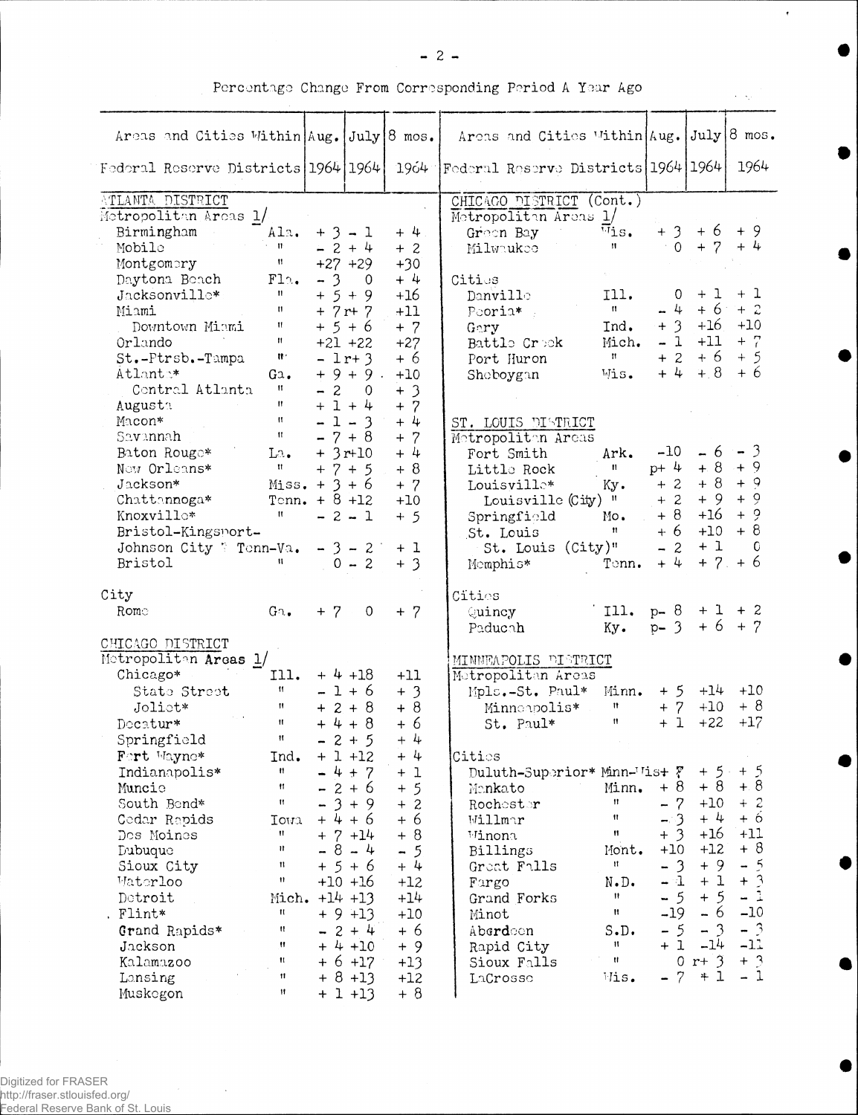| ×<br>. .<br>×<br>. . |  |
|----------------------|--|
|----------------------|--|

 $\bullet$ 

D

Percentage Change From Corresponding Period A Year Ago

| Areas and Cities Within Aug. July 8 mos. |                   |                      |             |                             |                                     |                   | Areas and Cities Within Aug. |                   |        | July 8 mos.          |
|------------------------------------------|-------------------|----------------------|-------------|-----------------------------|-------------------------------------|-------------------|------------------------------|-------------------|--------|----------------------|
| Federal Reserve Districts 1964 1964      |                   |                      |             | 1964                        | Federal Reserve Districts 1964 1964 |                   |                              |                   |        | 1964                 |
| ATLANTA DISTRICT                         |                   |                      |             |                             |                                     |                   | CHICAGO DISTRICT (Cont.)     |                   |        |                      |
| Metropolitan Areas 1/                    |                   |                      |             |                             | Metropolitan Areas 1/               |                   |                              |                   |        |                      |
| Birmingham                               | Ala.              |                      | $+3 - 1$    | $+4$ .                      | Green Bay                           |                   | $\overline{v}$ is.           | $+3$              | $+6$   | + 9                  |
| Mobile                                   | $\mathbf{u}$      |                      | $-2+4$      | $+2$                        | Milwaukee                           |                   | $^{\prime\prime}$            | $\Omega$          | $+ 7$  | $+4$                 |
| Montgomery                               | Ħ                 |                      | $+27 +29$   | $+30$                       |                                     |                   |                              |                   |        |                      |
| Daytona Beach                            | F12.              | $-3$                 | 0           | $+4$                        | Cities                              |                   |                              |                   |        |                      |
| Jacksonville*                            | Ħ                 |                      | $+ 5 + 9$   | $+16$                       | Danville                            |                   | I11.                         | 0                 | $+1$   | + 1                  |
| Miami                                    | п                 |                      | $+ 7r + 7$  | $+11$                       | Pooria*                             |                   | $\mathbf{H}$                 | $\downarrow$<br>- | $+6$   | $+2$                 |
| Downtown Miami                           | Ħ                 |                      | $+5+6$      | $+7$                        | Gary                                |                   | Ind.                         | $+3$              | $+16$  | $+10$                |
| Orlando                                  | $\mathbf{n}$      |                      | $+21 +22$   | $+27$                       | Battle Crock                        |                   | Mich.                        | $-1$              | $+11$  | $+$ 7                |
| St.-Ptrsb.-Tampa                         | Ħ.                |                      | $-1r+3$     | $+6$                        | Port Huron                          |                   | $\mathbf{H} = \mathbf{0}$    | $+2$              | $+6$   | $+5$                 |
| Atlante*                                 | Ga.               |                      | $+9+9$ .    | $+10$                       | Shoboygan                           |                   | Wis.                         | $+4$              | $+8$   | $+6$                 |
| Contral Atlanta                          | 11                | $-2$                 | $\circ$     | $+3$                        |                                     |                   |                              |                   |        |                      |
| Augusta                                  | Ħ                 |                      | $+1+4$      | $+7$                        |                                     |                   |                              |                   |        |                      |
| Macon*                                   | $\mathsf{H}$      |                      | $-1 - 3$    | $+4$                        | ST. LOUIS DISTRICT                  |                   |                              |                   |        |                      |
| Savannah                                 | $^{\prime\prime}$ |                      | $-7+8$      | $+ 7$                       | Metropoliten Areas                  |                   |                              |                   |        |                      |
| Baton Rouge*                             | La.               |                      | $+3r+10$    | $+4$                        | Fort Smith                          |                   | Ark.                         | $-10$             | $-6$   | $-3$                 |
| Now Orleans*                             | Ħ                 |                      | $+7+5$      | $+8$                        | Little Rock                         |                   | $\mathbf{n}$                 | $p+4$             | $+8$   | $+9$                 |
| Jackson*                                 | $Miss. + 3 + 6$   |                      |             | $+ 7$                       | Louisville*                         |                   | Ky.                          | $+2$              | $+8$   | $+9$                 |
| Chattannoga*                             | Tenn. $+ 8 + 12$  |                      |             | $+10$                       |                                     | Louisville (City) | - 11                         | $+2$              | $+9$   | $+9$                 |
| Knoxvillo*                               | 11                |                      | $-2 - 1$    | $+5$                        | Springfield                         |                   | Mo.                          | + 8               | $+16$  | $+9$                 |
| Bristol-Kingsport-                       |                   |                      |             |                             | St. Louis                           |                   | $^{\dagger}$                 | $+6$              | $+10$  | $+8$                 |
| Johnson City ? Tenn-Va.                  |                   |                      | $-3 - 2$    | $+1$                        |                                     |                   | St. Louis (City)"            | $-2$              | $+1$   | 0                    |
| Bristol                                  | Ħ.                |                      | $0 - 2$     | $+3$                        | Momphis*                            |                   | Tonn.                        | $+4$              | $+ 7.$ | $+6$                 |
|                                          |                   |                      |             |                             |                                     |                   |                              |                   |        |                      |
| City                                     |                   |                      |             |                             | Cities                              |                   |                              |                   |        |                      |
| Rome                                     | $G_2$ .           | $+ 7$                | $\mathbf 0$ | $+ 7$                       | Quincy                              |                   | I11.                         | $p - 8$           |        | $+1$ + 2<br>$+6$ + 7 |
| CHICAGO DISTRICT                         |                   |                      |             |                             | Paducah                             |                   | Ky.                          | $p - 3$           |        |                      |
| Metropoliten Areas 1/                    |                   |                      |             |                             | MINNEAPOLIS DISTRICT                |                   |                              |                   |        |                      |
| Chicago*                                 | 111.              |                      | $+4 + 18$   | $+11$                       | Metropolitan Areas                  |                   |                              |                   |        |                      |
| State Street                             | Ħ                 |                      | $-1+6$      | $+3$                        |                                     | Mpls.-St. Paul*   | Minn.                        | $+5$              | $+14$  | $+10$                |
| Joliet*                                  | Ħ                 |                      | $+2+8$      | $+8$                        |                                     | Minnonpolis*      | Ħ                            | $+7$              | $+10$  | + 8                  |
| Decatur*                                 | Ħ                 |                      | $+4+8$      | $+6$                        |                                     | St. Paul*         | n                            | $+1$              | $+22$  | $+17$                |
| Springfield                              | ₩.                |                      | $-2+5$      | $+4$                        |                                     |                   |                              |                   |        |                      |
| Fort Wayne*                              | Ind.              |                      | $+1 + 12$   | $+4$                        | Citios                              |                   |                              |                   |        |                      |
| Indianapolis*                            | ₩.                |                      | $4 + 7$     | $+1$                        |                                     |                   | Duluth-Superior* Minn-Tist ? |                   | $+5$   | $+5$                 |
| Muncie                                   | 11                |                      | $2 + 6$     | $\overline{5}$<br>$\ddot{}$ | Mankato                             |                   | Minn.                        | $+8$              | $+8$   | $+8$                 |
| South Bend*                              | Ħ                 |                      | $3 + 9$     | 2<br>$+$                    | Rochester                           |                   | $\mathbf{H}$                 | $-7$              | $+10$  | $+2$                 |
| Cedar Rapids                             | Iowa              | $+4$                 | $+6$        | $+6$                        | Willmar                             |                   | $\mathbf{H}$                 | $-3$              | $+4$   | $+6$                 |
| Dos Moines                               | Ħ                 |                      | $+ 7 + 14$  | $+8$                        | Winona                              |                   | $\mathbf{H}$                 | $+3$              | $+16$  | $+11$                |
| Dubuque                                  | Ħ                 | $\sim$               | $8 - 4$     | $\overline{5}$<br>-         | Billings                            |                   | Mont.                        | $+10$             | $+12$  | $+8$                 |
| Sioux City                               | Ħ                 |                      | $+5+6$      | $+4$                        | Great Falls                         |                   | Ħ                            | $-3$              | $+9$   | $\overline{5}$<br>-  |
| <b>Materloo</b>                          | Ħ                 |                      | $+10$ $+16$ | $+12$                       | Fargo                               |                   | N.D.                         | - 1               | $+1$   | $\mathcal{E}$<br>$+$ |
| Detroit                                  |                   | Mich. $+14$ $+13$    |             | $+14$                       | Grand Forks                         |                   | n                            | $-5$              | $+5$   | $-1$                 |
| . Flint*                                 | Ħ.                |                      | $+9+13$     | $+10$                       | Minot                               |                   | Ħ                            | $-19$             | $-6$   | $-10$                |
| Grand Rapids*                            | n                 | $\ddot{\phantom{1}}$ | $2 + 4$     | $+6$                        | Aberdoon                            |                   | S.D.                         | $-5$              | $-3$   | $-3$                 |
| Jackson                                  | $\mathbf{H}$      |                      | $+ 4 + 10$  | $+9$                        | Rapid City                          |                   | Ħ                            | $+1$              | $-14$  | $-11$                |
| Kalamazoo                                | Ħ                 |                      | $+ 6 + 17$  | $+13$                       | Sioux Falls                         |                   | $\mathbf{H}$                 | $\overline{0}$    | $r+3$  | $+$ 3                |
| Lonsing                                  | $\mathbf{H}$      | $+$                  | $8 + 13$    | $+12$                       | LaCrosse                            |                   | Wis.                         | $-7$              | $+1$   | - 1                  |
| Muskegon                                 | 11                |                      | $+1 + 13$   | $+8$                        |                                     |                   |                              |                   |        |                      |

 $\sim$   $\sim$